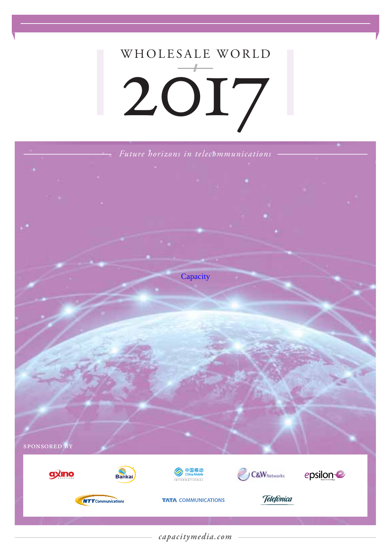# WHOLESALE WORLD 2017



*capacitymedia.com*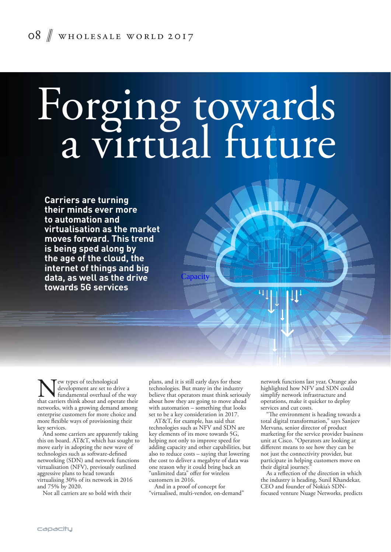# Forging towards a virtual future

**Carriers are turning their minds ever more to automation and virtualisation as the market moves forward. This trend is being sped along by the age of the cloud, the internet of things and big data, as well as the drive towards 5G services**

New types of technological that carriers think about and operate their development are set to drive a fundamental overhaul of the way networks, with a growing demand among enterprise customers for more choice and more flexible ways of provisioning their key services.

And some carriers are apparently taking this on board. AT&T, which has sought to move early in adopting the new wave of technologies such as software-defined networking (SDN) and network functions virtualisation (NFV), previously outlined aggressive plans to head towards virtualising 30% of its network in 2016 and 75% by 2020.

Not all carriers are so bold with their

plans, and it is still early days for these technologies. But many in the industry believe that operators must think seriously about how they are going to move ahead with automation – something that looks set to be a key consideration in 2017.

**Capacity** 

AT&T, for example, has said that technologies such as NFV and SDN are key elements of its move towards 5G, helping not only to improve speed for adding capacity and other capabilities, but also to reduce costs – saying that lowering the cost to deliver a megabyte of data was one reason why it could bring back an "unlimited data" offer for wireless customers in 2016.

And in a proof of concept for "virtualised, multi-vendor, on-demand" network functions last year, Orange also highlighted how NFV and SDN could simplify network infrastructure and operations, make it quicker to deploy services and cut costs.

"The environment is heading towards a total digital transformation," says Sanjeev Mervana, senior director of product marketing for the service provider business unit at Cisco. "Operators are looking at different means to see how they can be not just the connectivity provider, but participate in helping customers move on their digital journey.

As a reflection of the direction in which the industry is heading, Sunil Khandekar, CEO and founder of Nokia's SDNfocused venture Nuage Networks, predicts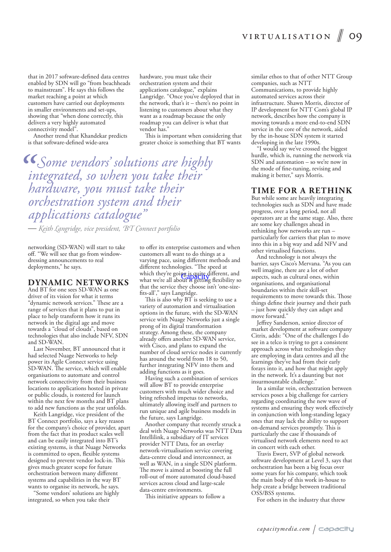that in 2017 software-defined data centres enabled by SDN will go "from beachheads to mainstream". He says this follows the market reaching a point at which customers have carried out deployments in smaller environments and set-ups, showing that "when done correctly, this delivers a very highly automated connectivity model".

Another trend that Khandekar predicts is that software-defined wide-area

hardware, you must take their orchestration system and their applications catalogue," explains Langridge. "Once you've deployed that in the network, that's it – there's no point in listening to customers about what they want as a roadmap because the only roadmap you can deliver is what that vendor has."

This is important when considering that greater choice is something that BT wants

*Some vendors' solutions are highly integrated, so when you take their hardware, you must take their orchestration system and their applications catalogue"*

 *Keith Langridge, vice president, BT Connect portfolio*

networking (SD-WAN) will start to take off. "We will see that go from windowdressing announcements to real deployments," he says.

## **DYNAMIC NETWORKS**

And BT for one sees SD-WAN as one driver of its vision for what it terms "dynamic network services." These are a range of services that it plans to put in place to help transform how it runs its network in the digital age and move towards a "cloud of clouds", based on technologies that also include NFV, SDN and SD-WAN.

Last November, BT announced that it had selected Nuage Networks to help power its Agile Connect service using SD-WAN. The service, which will enable organisations to automate and control network connectivity from their business locations to applications hosted in private or public clouds, is rostered for launch within the next few months and BT plans to add new functions as the year unfolds.

Keith Langridge, vice president of the BT Connect portfolio, says a key reason for the company's choice of provider, apart from the fact that its product scales well and can be easily integrated into BT's existing systems, is that Nuage Networks is committed to open, flexible systems designed to prevent vendor lock-in. This gives much greater scope for future orchestration between many different systems and capabilities in the way BT wants to organise its network, he says.

"Some vendors' solutions are highly integrated, so when you take their

to offer its enterprise customers and when customers all want to do things at a varying pace, using different methods and different technologies. "The speed at which they're going is quite different, and which they re going is quite different, and<br>what we're all about is getting flexibility so that the service they choose isn't 'one-sizefits-all'," says Langridge.

This is also why BT is seeking to use a variety of automation and virtualisation options in the future, with the SD-WAN service with Nuage Networks just a single prong of its digital transformation strategy. Among these, the company already offers another SD-WAN service, with Cisco, and plans to expand the number of cloud service nodes it currently has around the world from 18 to 50, further integrating NFV into them and adding functions as it goes.

Having such a combination of services will allow BT to provide enterprise customers with much wider choice and bring refreshed impetus to networks, ultimately allowing itself and partners to run unique and agile business models in the future, says Langridge.

Another company that recently struck a deal with Nuage Networks was NTT Data Intellilink, a subsidiary of IT services provider NTT Data, for an overlay network-virtualisation service covering data-centre cloud and interconnect, as well as WAN, in a single SDN platform. The move is aimed at boosting the full roll-out of more automated cloud-based services across cloud and large-scale data-centre environments.

This initiative appears to follow a

similar ethos to that of other NTT Group companies, such as NTT Communications, to provide highly automated services across their infrastructure. Shawn Morris, director of IP development for NTT Com's global IP network, describes how the company is moving towards a more end-to-end SDN service in the core of the network, aided by the in-house SDN system it started developing in the late 1990s.

"I would say we've crossed the biggest hurdle, which is, running the network via SDN and automation – so we're now in the mode of fine-tuning, revising and making it better," says Morris.

### **TIME FOR A RETHINK**

But while some are heavily integrating technologies such as SDN and have made progress, over a long period, not all operators are at the same stage. Also, there are some key challenges ahead in rethinking how networks are run – particularly for carriers that plan to move into this in a big way and add NFV and other virtualised functions.

And technology is not always the barrier, says Cisco's Mervana. "As you can well imagine, there are a lot of other aspects, such as cultural ones, within organisations, and organisational boundaries within their skill-set requirements to move towards this. Those things define their journey and their path – just how quickly they can adapt and move forward."

Jeffrey Sanderson, senior director of market development at software company Citrix, adds: "One of the challenges I do see in a telco is trying to get a consistent approach across what technologies they are employing in data centres and all the learnings they've had from their early forays into it, and how that might apply in the network. It's a daunting but not insurmountable challenge."

In a similar vein, orchestration between services poses a big challenge for carriers regarding coordinating the new wave of systems and ensuring they work effectively in conjunction with long-standing legacy ones that may lack the ability to support on-demand services promptly. This is particularly the case if thousands of virtualised network elements need to act in concert with each other.

Travis Ewert, SVP of global network software development at Level 3, says that orchestration has been a big focus over some years for his company, which took the main body of this work in-house to help create a bridge between traditional OSS/BSS systems.

For others in the industry that threw